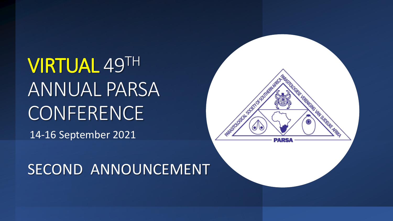VIRTUAL 49TH ANNUAL PARSA **CONFERENCE** 14-16 September 2021



### SECOND ANNOUNCEMENT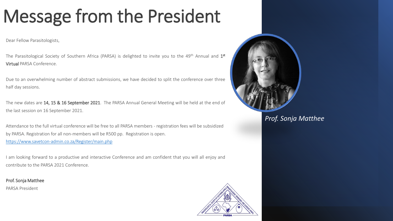# Message from the President

Dear Fellow Parasitologists,

The Parasitological Society of Southern Africa (PARSA) is delighted to invite you to the 49<sup>th</sup> Annual and 1st Virtual PARSA Conference.

Due to an overwhelming number of abstract submissions, we have decided to split the conference over three half day sessions.

The new dates are 14, 15 & 16 September 2021. The PARSA Annual General Meeting will be held at the end of the last session on 16 September 2021.

Attendance to the full virtual conference will be free to all PARSA members - registration fees will be subsidized by PARSA. Registration for all non-members will be R500 pp. Registration is open. <https://www.savetcon-admin.co.za/Register/main.php>

I am looking forward to a productive and interactive Conference and am confident that you will all enjoy and contribute to the PARSA 2021 Conference.

Prof. Sonja Matthee

PARSA President



*Prof. Sonja Matthee*

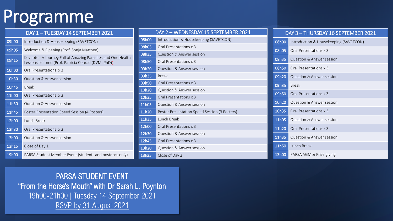## Programme

| DAY 1-TUESDAY 14 SEPTEMBER 2021 |                                                                                                                    |  |
|---------------------------------|--------------------------------------------------------------------------------------------------------------------|--|
| 09h00                           | Introduction & Housekeeping (SAVETCON)                                                                             |  |
| 09h05                           | Welcome & Opening (Prof. Sonja Matthee)                                                                            |  |
| 09h15                           | Keynote - A Journey Full of Amazing Parasites and One Health<br>Lessons Learned (Prof. Patricia Conrad (DVM, PhD)) |  |
| 10h00                           | Oral Presentations x 3                                                                                             |  |
| 10h30                           | Question & Answer session                                                                                          |  |
| 10h45                           | <b>Break</b>                                                                                                       |  |
| 11h00                           | Oral Presentations x 3                                                                                             |  |
| 11h30                           | Question & Answer session                                                                                          |  |
| 11h45                           | Poster Presentation Speed Session (4 Posters)                                                                      |  |
| 12h00                           | <b>Lunch Break</b>                                                                                                 |  |
| 12h30                           | Oral Presentations x 3                                                                                             |  |
| 13h00                           | Question & Answer session                                                                                          |  |
| 13h15                           | Close of Day 1                                                                                                     |  |
| 19h00                           | PARSA Student Member Event (students and postdocs only)                                                            |  |

|       | DAY 2 - WEDNESDAY 15 SEPTEMBER 2021           |
|-------|-----------------------------------------------|
| 08h00 | Introduction & Housekeeping (SAVETCON)        |
| 08h05 | Oral Presentations x 3                        |
| 08h35 | Question & Answer session                     |
| 08h50 | Oral Presentations x 3                        |
| 09h20 | Question & Answer session                     |
| 09h35 | <b>Break</b>                                  |
| 09h50 | Oral Presentations x 3                        |
| 10h20 | Question & Answer session                     |
| 10h35 | Oral Presentations x 3                        |
| 11h05 | Question & Answer session                     |
| 11h20 | Poster Presentation Speed Session (3 Posters) |
| 11h35 | Lunch Break                                   |
| 12h00 | Oral Presentations x 3                        |
| 12h30 | Question & Answer session                     |
| 12h45 | Oral Presentations x 3                        |
| 13h20 | Question & Answer session                     |
| 13h35 | Close of Day 2                                |

#### DAY 3 – THURSDAY 16 SEPTEMBER 2021

| 08h00 | Introduction & Housekeeping (SAVETCON) |
|-------|----------------------------------------|
| 08h05 | Oral Presentations x 3                 |
| 08h35 | Question & Answer session              |
| 08h50 | Oral Presentations x 3                 |
| 09h20 | Question & Answer session              |
| 09h35 | <b>Break</b>                           |
| 09h50 | Oral Presentations x 3                 |
| 10h20 | Question & Answer session              |
| 10h35 | Oral Presentations x 3                 |
| 11h05 | Question & Answer session              |
| 11h20 | Oral Presentations x 3                 |
| 11h35 | Question & Answer session              |
| 11h50 | Lunch Break                            |
| 13h00 | PARSA AGM & Prize giving               |

PARSA STUDENT EVENT "From the Horse's Mouth" with Dr Sarah L. Poynton 19h00-21h00 | Tuesday 14 September 2021 [RSVP by 31 August 2021](https://www.savetcon-admin.co.za/Register/main.php)